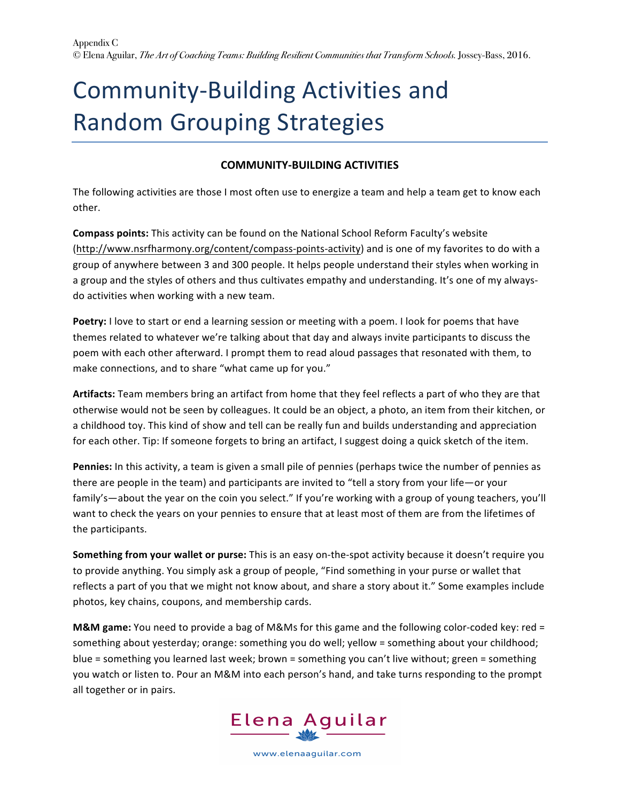## Community-Building Activities and **Random Grouping Strategies**

## **COMMUNITY-BUILDING ACTIVITIES**

The following activities are those I most often use to energize a team and help a team get to know each other.

**Compass points:** This activity can be found on the National School Reform Faculty's website (http://www.nsrfharmony.org/content/compass-points-activity) and is one of my favorites to do with a group of anywhere between 3 and 300 people. It helps people understand their styles when working in a group and the styles of others and thus cultivates empathy and understanding. It's one of my alwaysdo activities when working with a new team.

**Poetry:** I love to start or end a learning session or meeting with a poem. I look for poems that have themes related to whatever we're talking about that day and always invite participants to discuss the poem with each other afterward. I prompt them to read aloud passages that resonated with them, to make connections, and to share "what came up for you."

Artifacts: Team members bring an artifact from home that they feel reflects a part of who they are that otherwise would not be seen by colleagues. It could be an object, a photo, an item from their kitchen, or a childhood toy. This kind of show and tell can be really fun and builds understanding and appreciation for each other. Tip: If someone forgets to bring an artifact, I suggest doing a quick sketch of the item.

**Pennies:** In this activity, a team is given a small pile of pennies (perhaps twice the number of pennies as there are people in the team) and participants are invited to "tell a story from your life—or your family's—about the year on the coin you select." If you're working with a group of young teachers, you'll want to check the years on your pennies to ensure that at least most of them are from the lifetimes of the participants.

**Something from your wallet or purse:** This is an easy on-the-spot activity because it doesn't require you to provide anything. You simply ask a group of people, "Find something in your purse or wallet that reflects a part of you that we might not know about, and share a story about it." Some examples include photos, key chains, coupons, and membership cards.

**M&M** game: You need to provide a bag of M&Ms for this game and the following color-coded key: red = something about yesterday; orange: something you do well; yellow = something about your childhood; blue = something you learned last week; brown = something you can't live without; green = something you watch or listen to. Pour an M&M into each person's hand, and take turns responding to the prompt all together or in pairs.

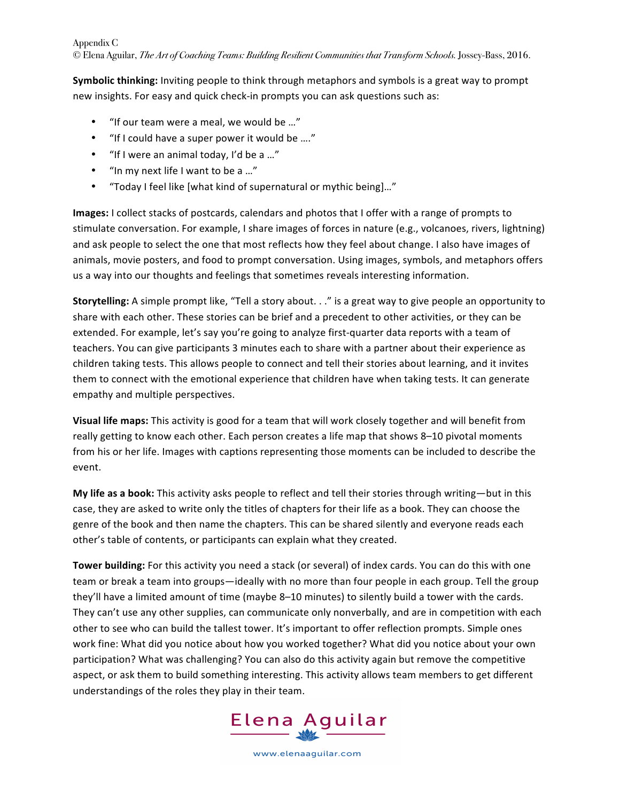Appendix C

© Elena Aguilar, *The Art of Coaching Teams: Building Resilient Communities that Transform Schools.* Jossey-Bass, 2016.

**Symbolic thinking:** Inviting people to think through metaphors and symbols is a great way to prompt new insights. For easy and quick check-in prompts you can ask questions such as:

- "If our team were a meal, we would be ..."
- "If I could have a super power it would be ...."
- "If I were an animal today, I'd be a ..."
- "In my next life I want to be a ..."
- "Today I feel like [what kind of supernatural or mythic being]..."

Images: I collect stacks of postcards, calendars and photos that I offer with a range of prompts to stimulate conversation. For example, I share images of forces in nature (e.g., volcanoes, rivers, lightning) and ask people to select the one that most reflects how they feel about change. I also have images of animals, movie posters, and food to prompt conversation. Using images, symbols, and metaphors offers us a way into our thoughts and feelings that sometimes reveals interesting information.

**Storytelling:** A simple prompt like, "Tell a story about. . ." is a great way to give people an opportunity to share with each other. These stories can be brief and a precedent to other activities, or they can be extended. For example, let's say you're going to analyze first-quarter data reports with a team of teachers. You can give participants 3 minutes each to share with a partner about their experience as children taking tests. This allows people to connect and tell their stories about learning, and it invites them to connect with the emotional experience that children have when taking tests. It can generate empathy and multiple perspectives.

**Visual life maps:** This activity is good for a team that will work closely together and will benefit from really getting to know each other. Each person creates a life map that shows 8-10 pivotal moments from his or her life. Images with captions representing those moments can be included to describe the event.

**My life as a book:** This activity asks people to reflect and tell their stories through writing—but in this case, they are asked to write only the titles of chapters for their life as a book. They can choose the genre of the book and then name the chapters. This can be shared silently and everyone reads each other's table of contents, or participants can explain what they created.

**Tower building:** For this activity you need a stack (or several) of index cards. You can do this with one team or break a team into groups—ideally with no more than four people in each group. Tell the group they'll have a limited amount of time (maybe 8-10 minutes) to silently build a tower with the cards. They can't use any other supplies, can communicate only nonverbally, and are in competition with each other to see who can build the tallest tower. It's important to offer reflection prompts. Simple ones work fine: What did you notice about how you worked together? What did you notice about your own participation? What was challenging? You can also do this activity again but remove the competitive aspect, or ask them to build something interesting. This activity allows team members to get different understandings of the roles they play in their team.

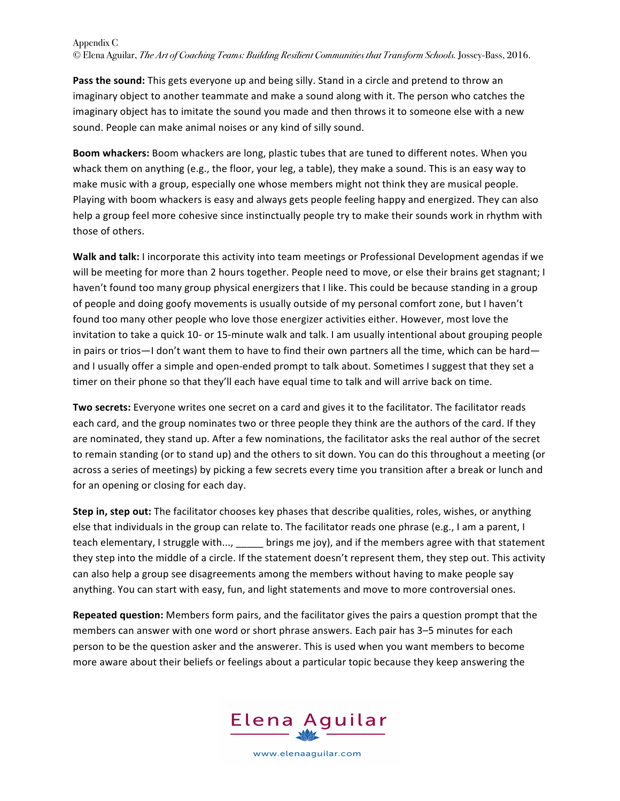## Appendix C

© Elena Aguilar, *The Art of Coaching Teams: Building Resilient Communities that Transform Schools.* Jossey-Bass, 2016.

Pass the sound: This gets everyone up and being silly. Stand in a circle and pretend to throw an imaginary object to another teammate and make a sound along with it. The person who catches the imaginary object has to imitate the sound you made and then throws it to someone else with a new sound. People can make animal noises or any kind of silly sound.

**Boom whackers:** Boom whackers are long, plastic tubes that are tuned to different notes. When you whack them on anything (e.g., the floor, your leg, a table), they make a sound. This is an easy way to make music with a group, especially one whose members might not think they are musical people. Playing with boom whackers is easy and always gets people feeling happy and energized. They can also help a group feel more cohesive since instinctually people try to make their sounds work in rhythm with those of others.

**Walk and talk:** I incorporate this activity into team meetings or Professional Development agendas if we will be meeting for more than 2 hours together. People need to move, or else their brains get stagnant; I haven't found too many group physical energizers that I like. This could be because standing in a group of people and doing goofy movements is usually outside of my personal comfort zone, but I haven't found too many other people who love those energizer activities either. However, most love the invitation to take a quick 10- or 15-minute walk and talk. I am usually intentional about grouping people in pairs or trios—I don't want them to have to find their own partners all the time, which can be hard and I usually offer a simple and open-ended prompt to talk about. Sometimes I suggest that they set a timer on their phone so that they'll each have equal time to talk and will arrive back on time.

**Two secrets:** Everyone writes one secret on a card and gives it to the facilitator. The facilitator reads each card, and the group nominates two or three people they think are the authors of the card. If they are nominated, they stand up. After a few nominations, the facilitator asks the real author of the secret to remain standing (or to stand up) and the others to sit down. You can do this throughout a meeting (or across a series of meetings) by picking a few secrets every time you transition after a break or lunch and for an opening or closing for each day.

**Step in, step out:** The facilitator chooses key phases that describe qualities, roles, wishes, or anything else that individuals in the group can relate to. The facilitator reads one phrase (e.g., I am a parent, I teach elementary, I struggle with..., \_\_\_\_\_\_ brings me joy), and if the members agree with that statement they step into the middle of a circle. If the statement doesn't represent them, they step out. This activity can also help a group see disagreements among the members without having to make people say anything. You can start with easy, fun, and light statements and move to more controversial ones.

**Repeated question:** Members form pairs, and the facilitator gives the pairs a question prompt that the members can answer with one word or short phrase answers. Each pair has 3-5 minutes for each person to be the question asker and the answerer. This is used when you want members to become more aware about their beliefs or feelings about a particular topic because they keep answering the

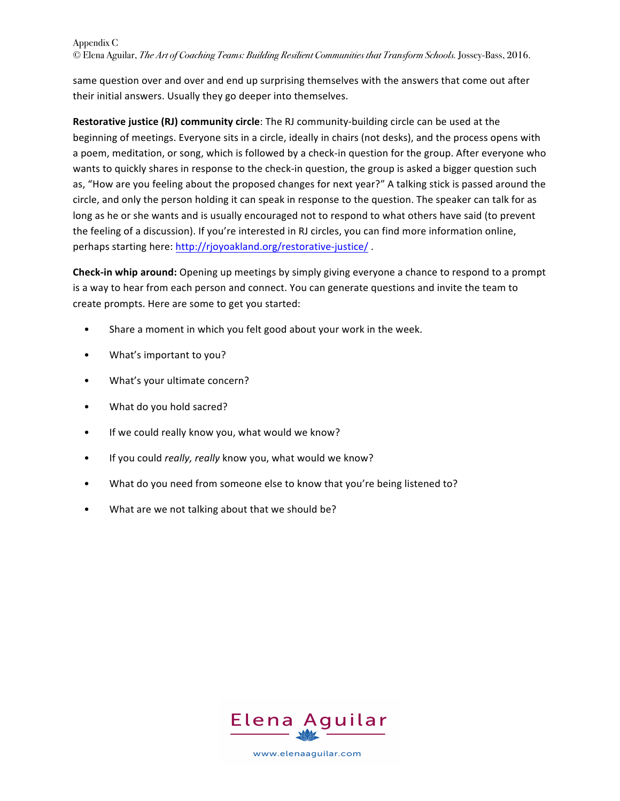Appendix C

© Elena Aguilar, *The Art of Coaching Teams: Building Resilient Communities that Transform Schools.* Jossey-Bass, 2016.

same question over and over and end up surprising themselves with the answers that come out after their initial answers. Usually they go deeper into themselves.

**Restorative justice (RJ) community circle**: The RJ community-building circle can be used at the beginning of meetings. Everyone sits in a circle, ideally in chairs (not desks), and the process opens with a poem, meditation, or song, which is followed by a check-in question for the group. After everyone who wants to quickly shares in response to the check-in question, the group is asked a bigger question such as, "How are you feeling about the proposed changes for next year?" A talking stick is passed around the circle, and only the person holding it can speak in response to the question. The speaker can talk for as long as he or she wants and is usually encouraged not to respond to what others have said (to prevent the feeling of a discussion). If you're interested in RJ circles, you can find more information online, perhaps starting here: http://rjoyoakland.org/restorative-justice/.

**Check-in whip around:** Opening up meetings by simply giving everyone a chance to respond to a prompt is a way to hear from each person and connect. You can generate questions and invite the team to create prompts. Here are some to get you started:

- Share a moment in which you felt good about your work in the week.
- What's important to you?
- What's your ultimate concern?
- What do you hold sacred?
- If we could really know you, what would we know?
- If you could *really, really* know you, what would we know?
- What do you need from someone else to know that you're being listened to?
- What are we not talking about that we should be?